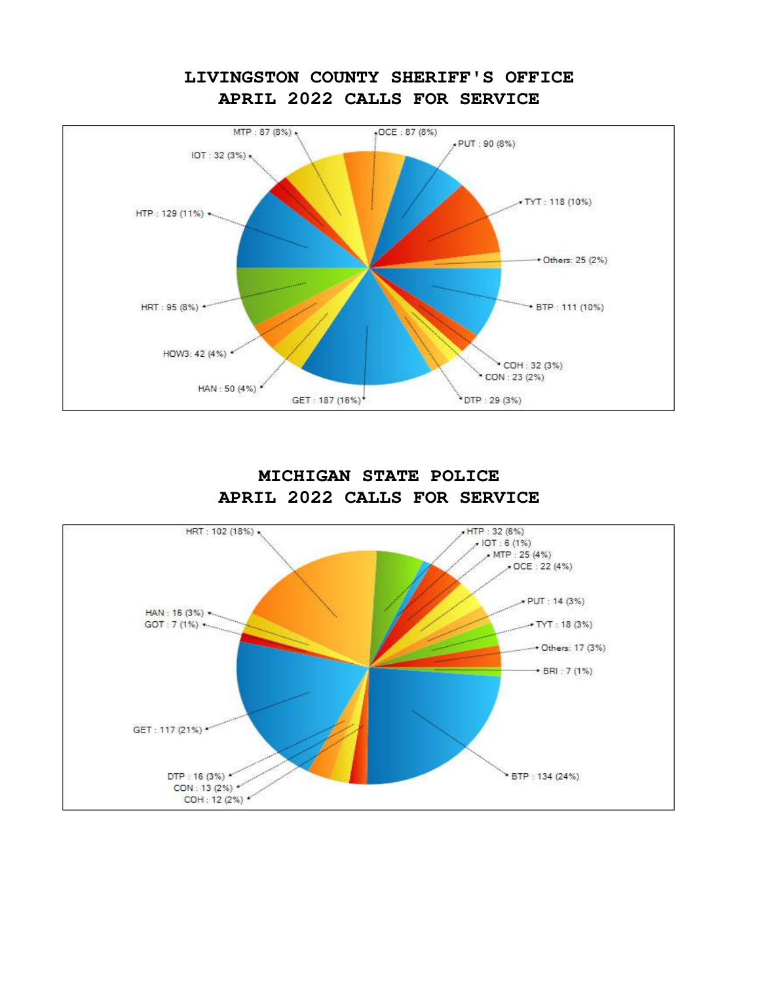## **LIVINGSTON COUNTY SHERIFF'S OFFICE APRIL 2022 CALLS FOR SERVICE**



## **MICHIGAN STATE POLICE APRIL 2022 CALLS FOR SERVICE**

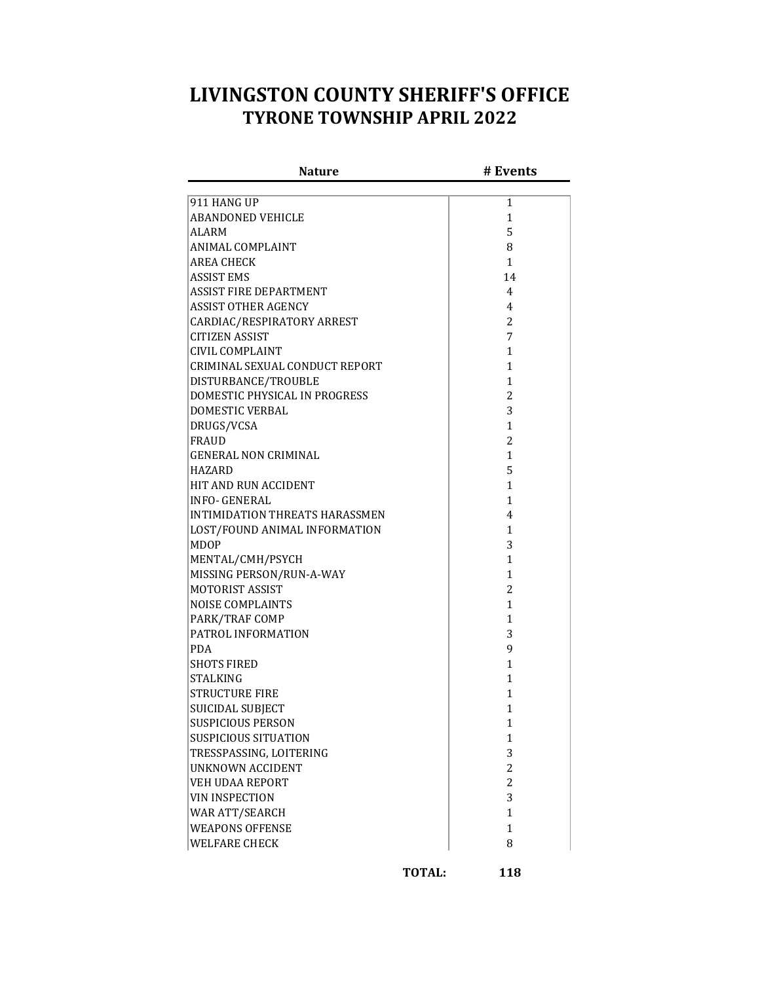## **LIVINGSTON COUNTY SHERIFF'S OFFICE TYRONE TOWNSHIP APRIL 2022**

| <b>Nature</b>                  | # Events       |
|--------------------------------|----------------|
|                                |                |
| 911 HANG UP                    | 1              |
| <b>ABANDONED VEHICLE</b>       | 1              |
| ALARM                          | 5              |
| <b>ANIMAL COMPLAINT</b>        | 8              |
| <b>AREA CHECK</b>              | 1              |
| <b>ASSIST EMS</b>              | 14             |
| <b>ASSIST FIRE DEPARTMENT</b>  | 4              |
| <b>ASSIST OTHER AGENCY</b>     | 4              |
| CARDIAC/RESPIRATORY ARREST     | $\overline{2}$ |
| <b>CITIZEN ASSIST</b>          | 7              |
| <b>CIVIL COMPLAINT</b>         | 1              |
| CRIMINAL SEXUAL CONDUCT REPORT | 1              |
| DISTURBANCE/TROUBLE            | 1              |
| DOMESTIC PHYSICAL IN PROGRESS  | 2              |
| DOMESTIC VERBAL                | 3              |
| DRUGS/VCSA                     | 1              |
| FRAUD                          | 2              |
| <b>GENERAL NON CRIMINAL</b>    | 1              |
| HAZARD                         | 5              |
| HIT AND RUN ACCIDENT           | 1              |
| <b>INFO- GENERAL</b>           | 1              |
| INTIMIDATION THREATS HARASSMEN | 4              |
| LOST/FOUND ANIMAL INFORMATION  | 1              |
| <b>MDOP</b>                    | 3              |
| MENTAL/CMH/PSYCH               | 1              |
| MISSING PERSON/RUN-A-WAY       | 1              |
| <b>MOTORIST ASSIST</b>         | 2              |
| <b>NOISE COMPLAINTS</b>        | 1              |
| PARK/TRAF COMP                 | 1              |
| PATROL INFORMATION             | 3              |
| PDA.                           | 9              |
| SHOTS FIRED                    | 1              |
| <b>STALKING</b>                | 1              |
| <b>STRUCTURE FIRE</b>          | 1              |
| <b>SUICIDAL SUBJECT</b>        | 1              |
| SUSPICIOUS PERSON              | 1              |
| <b>SUSPICIOUS SITUATION</b>    | 1              |
| TRESSPASSING, LOITERING        | 3              |
| <b>UNKNOWN ACCIDENT</b>        | 2              |
| VEH UDAA REPORT                | 2              |
| VIN INSPECTION                 | 3              |
| WAR ATT/SEARCH                 | 1              |
| <b>WEAPONS OFFENSE</b>         | 1              |
| <b>WELFARE CHECK</b>           | 8              |

**TOTAL: 118**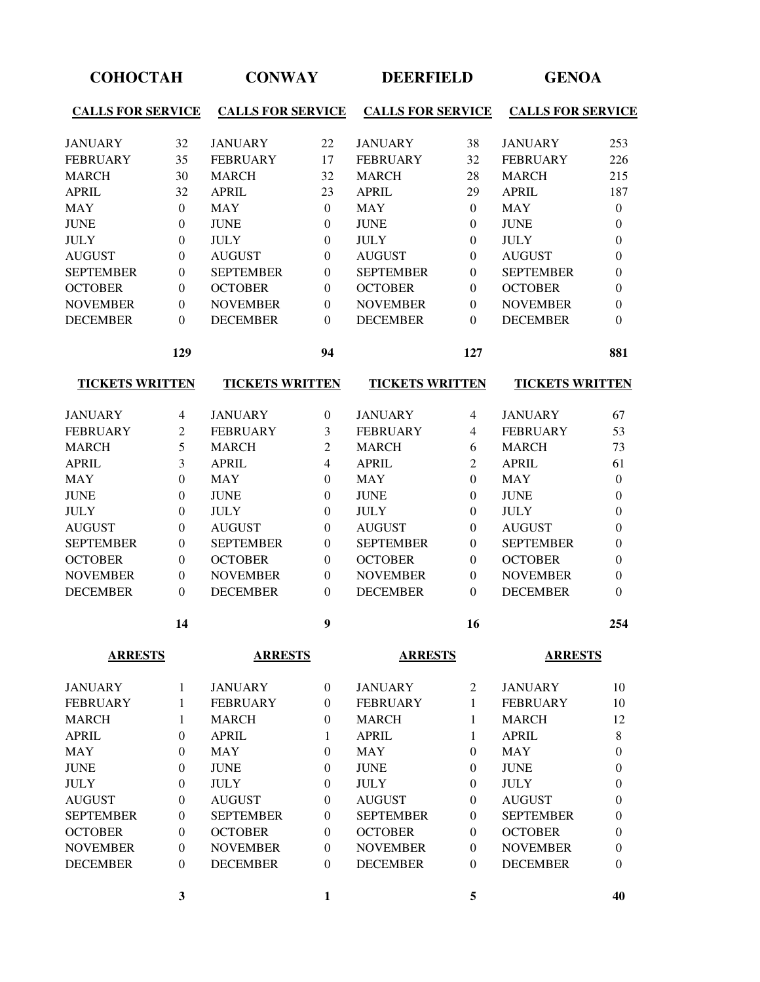| <b>СОНОСТАН</b>          |                  | <b>CONWAY</b>            |                  | <b>DEERFIELD</b>         |                  | <b>GENOA</b>             |                  |
|--------------------------|------------------|--------------------------|------------------|--------------------------|------------------|--------------------------|------------------|
| <b>CALLS FOR SERVICE</b> |                  | <b>CALLS FOR SERVICE</b> |                  | <b>CALLS FOR SERVICE</b> |                  | <b>CALLS FOR SERVICE</b> |                  |
| <b>JANUARY</b>           | 32               | <b>JANUARY</b>           | 22               | <b>JANUARY</b>           | 38               | <b>JANUARY</b>           | 253              |
| <b>FEBRUARY</b>          | 35               | <b>FEBRUARY</b>          | 17               | <b>FEBRUARY</b>          | 32               | <b>FEBRUARY</b>          | 226              |
| <b>MARCH</b>             | 30               | <b>MARCH</b>             | 32               | <b>MARCH</b>             | 28               | <b>MARCH</b>             | 215              |
| <b>APRIL</b>             | 32               | <b>APRIL</b>             | 23               | <b>APRIL</b>             | 29               | <b>APRIL</b>             | 187              |
| <b>MAY</b>               | $\overline{0}$   | <b>MAY</b>               | $\theta$         | <b>MAY</b>               | $\Omega$         | <b>MAY</b>               | $\boldsymbol{0}$ |
| <b>JUNE</b>              | $\boldsymbol{0}$ | <b>JUNE</b>              | $\theta$         | <b>JUNE</b>              | $\Omega$         | <b>JUNE</b>              | $\boldsymbol{0}$ |
| <b>JULY</b>              | $\boldsymbol{0}$ | <b>JULY</b>              | $\boldsymbol{0}$ | <b>JULY</b>              | $\boldsymbol{0}$ | <b>JULY</b>              | $\boldsymbol{0}$ |
| <b>AUGUST</b>            | $\overline{0}$   | <b>AUGUST</b>            | $\theta$         | <b>AUGUST</b>            | $\theta$         | <b>AUGUST</b>            | $\boldsymbol{0}$ |
| <b>SEPTEMBER</b>         | $\overline{0}$   | <b>SEPTEMBER</b>         | $\theta$         | <b>SEPTEMBER</b>         | $\Omega$         | <b>SEPTEMBER</b>         | $\boldsymbol{0}$ |
| <b>OCTOBER</b>           | $\overline{0}$   | <b>OCTOBER</b>           | $\overline{0}$   | <b>OCTOBER</b>           | $\mathbf{0}$     | <b>OCTOBER</b>           | $\boldsymbol{0}$ |
| <b>NOVEMBER</b>          | $\overline{0}$   | <b>NOVEMBER</b>          | $\theta$         | <b>NOVEMBER</b>          | $\Omega$         | <b>NOVEMBER</b>          | $\boldsymbol{0}$ |
| <b>DECEMBER</b>          | $\Omega$         | <b>DECEMBER</b>          | $\theta$         | <b>DECEMBER</b>          | $\Omega$         | <b>DECEMBER</b>          | $\theta$         |
|                          | 129              |                          | 94               |                          | 127              |                          | 881              |
| <b>TICKETS WRITTEN</b>   |                  | <b>TICKETS WRITTEN</b>   |                  | <b>TICKETS WRITTEN</b>   |                  | <b>TICKETS WRITTEN</b>   |                  |
| <b>JANUARY</b>           | $\overline{4}$   | <b>JANUARY</b>           | $\overline{0}$   | <b>JANUARY</b>           | 4                | <b>JANUARY</b>           | 67               |
| <b>FEBRUARY</b>          | $\overline{2}$   | <b>FEBRUARY</b>          | 3                | <b>FEBRUARY</b>          | 4                | <b>FEBRUARY</b>          | 53               |
| <b>MARCH</b>             | 5                | <b>MARCH</b>             | $\overline{c}$   | <b>MARCH</b>             | 6                | <b>MARCH</b>             | 73               |
| <b>APRIL</b>             | 3                | <b>APRIL</b>             | 4                | <b>APRIL</b>             | $\overline{2}$   | <b>APRIL</b>             | 61               |
| <b>MAY</b>               | $\overline{0}$   | <b>MAY</b>               | $\overline{0}$   | <b>MAY</b>               | $\Omega$         | <b>MAY</b>               | $\boldsymbol{0}$ |
| <b>JUNE</b>              | $\theta$         | <b>JUNE</b>              | $\theta$         | <b>JUNE</b>              | $\Omega$         | <b>JUNE</b>              | $\theta$         |
| <b>JULY</b>              | $\theta$         | <b>JULY</b>              | $\theta$         | <b>JULY</b>              | $\overline{0}$   | <b>JULY</b>              | $\boldsymbol{0}$ |
| <b>AUGUST</b>            | $\boldsymbol{0}$ | <b>AUGUST</b>            | $\theta$         | <b>AUGUST</b>            | $\boldsymbol{0}$ | <b>AUGUST</b>            | $\boldsymbol{0}$ |
| <b>SEPTEMBER</b>         | $\theta$         | <b>SEPTEMBER</b>         | $\boldsymbol{0}$ | <b>SEPTEMBER</b>         | $\boldsymbol{0}$ | <b>SEPTEMBER</b>         | $\boldsymbol{0}$ |
| <b>OCTOBER</b>           | $\overline{0}$   | <b>OCTOBER</b>           | $\boldsymbol{0}$ | <b>OCTOBER</b>           | $\boldsymbol{0}$ | <b>OCTOBER</b>           | $\boldsymbol{0}$ |
| <b>NOVEMBER</b>          | $\overline{0}$   | <b>NOVEMBER</b>          | $\theta$         | <b>NOVEMBER</b>          | $\theta$         | <b>NOVEMBER</b>          | $\boldsymbol{0}$ |
| <b>DECEMBER</b>          | 0                | <b>DECEMBER</b>          | 0                | <b>DECEMBER</b>          | $\Omega$         | <b>DECEMBER</b>          | $\theta$         |
|                          | 14               |                          | $\boldsymbol{9}$ |                          | 16               |                          | 254              |
| <b>ARRESTS</b>           |                  | <b>ARRESTS</b>           |                  | <b>ARRESTS</b>           |                  | <b>ARRESTS</b>           |                  |
| <b>JANUARY</b>           | 1                | <b>JANUARY</b>           | $\overline{0}$   | <b>JANUARY</b>           | 2                | <b>JANUARY</b>           | 10               |
| <b>FEBRUARY</b>          | 1                | <b>FEBRUARY</b>          | $\mathbf{0}$     | <b>FEBRUARY</b>          | 1                | <b>FEBRUARY</b>          | 10               |
| <b>MARCH</b>             | 1                | <b>MARCH</b>             | $\mathbf{0}$     | <b>MARCH</b>             | 1                | <b>MARCH</b>             | 12               |
| <b>APRIL</b>             | $\Omega$         | <b>APRIL</b>             | 1                | <b>APRIL</b>             | 1                | <b>APRIL</b>             | $\,8\,$          |
| <b>MAY</b>               | $\theta$         | <b>MAY</b>               | $\boldsymbol{0}$ | <b>MAY</b>               | $\Omega$         | <b>MAY</b>               | $\boldsymbol{0}$ |
| <b>JUNE</b>              | $\theta$         | <b>JUNE</b>              | $\boldsymbol{0}$ | <b>JUNE</b>              | $\mathbf{0}$     | <b>JUNE</b>              | $\boldsymbol{0}$ |
| <b>JULY</b>              | $\overline{0}$   | <b>JULY</b>              | $\boldsymbol{0}$ | <b>JULY</b>              | $\theta$         | <b>JULY</b>              | $\boldsymbol{0}$ |
| <b>AUGUST</b>            | 0                | <b>AUGUST</b>            | $\boldsymbol{0}$ | <b>AUGUST</b>            | $\mathbf{0}$     | <b>AUGUST</b>            | $\boldsymbol{0}$ |
| <b>SEPTEMBER</b>         | 0                | <b>SEPTEMBER</b>         | $\boldsymbol{0}$ | <b>SEPTEMBER</b>         | $\theta$         | <b>SEPTEMBER</b>         | $\boldsymbol{0}$ |
| <b>OCTOBER</b>           | $\overline{0}$   | <b>OCTOBER</b>           | $\boldsymbol{0}$ | <b>OCTOBER</b>           | $\theta$         | <b>OCTOBER</b>           | $\boldsymbol{0}$ |
| <b>NOVEMBER</b>          | $\overline{0}$   | <b>NOVEMBER</b>          | $\boldsymbol{0}$ | <b>NOVEMBER</b>          | $\mathbf{0}$     | <b>NOVEMBER</b>          | $\boldsymbol{0}$ |
| <b>DECEMBER</b>          | $\overline{0}$   | <b>DECEMBER</b>          | $\theta$         | <b>DECEMBER</b>          | $\Omega$         | <b>DECEMBER</b>          | $\boldsymbol{0}$ |
|                          | 3                |                          | $\mathbf{1}$     |                          | 5                |                          | 40               |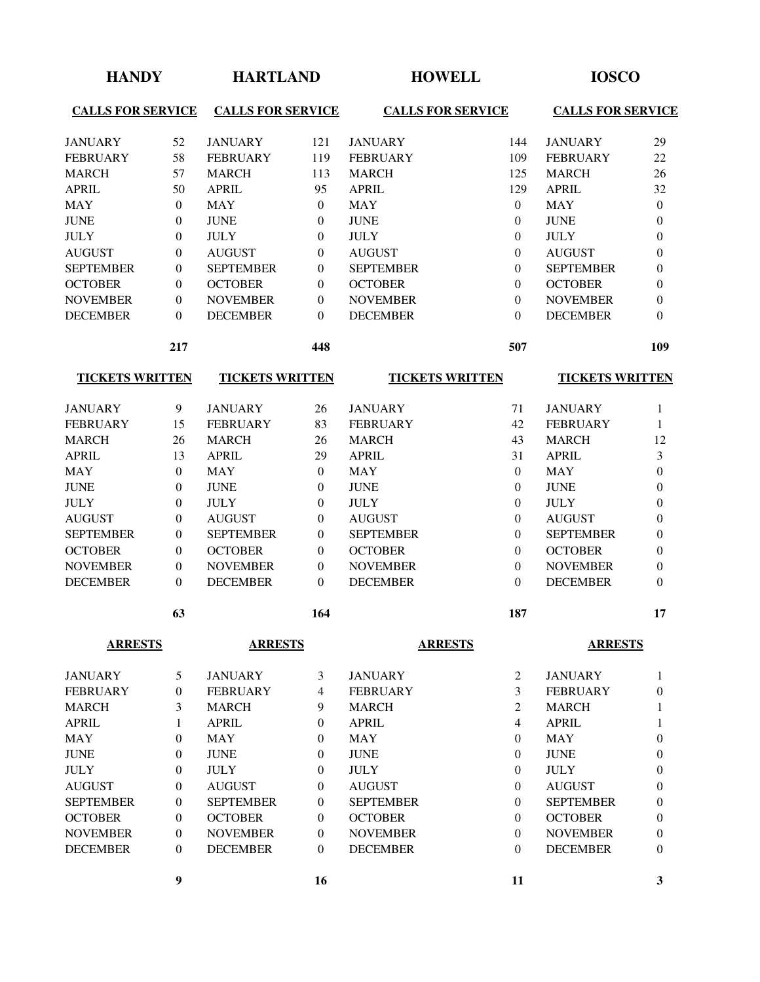| <b>HANDY</b>             |                  |                          | <b>HARTLAND</b><br><b>HOWELL</b> |                  |                          | <b>IOSCO</b>     |                          |                  |
|--------------------------|------------------|--------------------------|----------------------------------|------------------|--------------------------|------------------|--------------------------|------------------|
| <b>CALLS FOR SERVICE</b> |                  | <b>CALLS FOR SERVICE</b> |                                  |                  | <b>CALLS FOR SERVICE</b> |                  | <b>CALLS FOR SERVICE</b> |                  |
| <b>JANUARY</b>           | 52               | <b>JANUARY</b>           | 121                              | <b>JANUARY</b>   |                          | 144              | <b>JANUARY</b>           | 29               |
| <b>FEBRUARY</b>          | 58               | <b>FEBRUARY</b>          | 119                              | <b>FEBRUARY</b>  |                          | 109              | <b>FEBRUARY</b>          | 22               |
| <b>MARCH</b>             | 57               | <b>MARCH</b>             | 113                              | <b>MARCH</b>     |                          | 125              | <b>MARCH</b>             | 26               |
| <b>APRIL</b>             | 50               | <b>APRIL</b>             | 95                               | <b>APRIL</b>     |                          | 129              | <b>APRIL</b>             | 32               |
| <b>MAY</b>               | $\mathbf{0}$     | <b>MAY</b>               | $\mathbf{0}$                     | <b>MAY</b>       |                          | $\mathbf{0}$     | <b>MAY</b>               | $\boldsymbol{0}$ |
| <b>JUNE</b>              | $\boldsymbol{0}$ | <b>JUNE</b>              | $\overline{0}$                   | <b>JUNE</b>      |                          | $\boldsymbol{0}$ | <b>JUNE</b>              | $\boldsymbol{0}$ |
| <b>JULY</b>              | $\boldsymbol{0}$ | <b>JULY</b>              | $\boldsymbol{0}$                 | <b>JULY</b>      |                          | $\mathbf{0}$     | <b>JULY</b>              | $\boldsymbol{0}$ |
| <b>AUGUST</b>            | $\theta$         | <b>AUGUST</b>            | $\overline{0}$                   | <b>AUGUST</b>    |                          | $\overline{0}$   | <b>AUGUST</b>            | $\overline{0}$   |
| <b>SEPTEMBER</b>         | $\theta$         | <b>SEPTEMBER</b>         | 0                                | <b>SEPTEMBER</b> |                          | $\Omega$         | <b>SEPTEMBER</b>         | $\theta$         |
| <b>OCTOBER</b>           | $\mathbf{0}$     | <b>OCTOBER</b>           | $\overline{0}$                   | <b>OCTOBER</b>   |                          | $\overline{0}$   | <b>OCTOBER</b>           | $\theta$         |
| <b>NOVEMBER</b>          | $\mathbf{0}$     | <b>NOVEMBER</b>          | $\overline{0}$                   | <b>NOVEMBER</b>  |                          | $\theta$         | <b>NOVEMBER</b>          | $\theta$         |
| <b>DECEMBER</b>          | $\theta$         | <b>DECEMBER</b>          | $\overline{0}$                   | <b>DECEMBER</b>  |                          | $\Omega$         | <b>DECEMBER</b>          | $\overline{0}$   |
|                          | 217              |                          | 448                              |                  |                          | 507              |                          | 109              |
| <b>TICKETS WRITTEN</b>   |                  | <b>TICKETS WRITTEN</b>   |                                  |                  | <b>TICKETS WRITTEN</b>   |                  | <b>TICKETS WRITTEN</b>   |                  |
| <b>JANUARY</b>           | 9                | <b>JANUARY</b>           | 26                               | <b>JANUARY</b>   |                          | 71               | <b>JANUARY</b>           | $\mathbf{1}$     |
| <b>FEBRUARY</b>          | 15               | <b>FEBRUARY</b>          | 83                               | <b>FEBRUARY</b>  |                          | 42               | <b>FEBRUARY</b>          | $\mathbf{1}$     |
| <b>MARCH</b>             | 26               | <b>MARCH</b>             | 26                               | <b>MARCH</b>     |                          | 43               | <b>MARCH</b>             | 12               |
| <b>APRIL</b>             | 13               | <b>APRIL</b>             | 29                               | <b>APRIL</b>     |                          | 31               | <b>APRIL</b>             | 3                |
| <b>MAY</b>               | $\mathbf{0}$     | <b>MAY</b>               | $\boldsymbol{0}$                 | <b>MAY</b>       |                          | $\mathbf{0}$     | <b>MAY</b>               | $\boldsymbol{0}$ |
| <b>JUNE</b>              | $\overline{0}$   | <b>JUNE</b>              | $\overline{0}$                   | <b>JUNE</b>      |                          | $\mathbf{0}$     | <b>JUNE</b>              | $\boldsymbol{0}$ |
| <b>JULY</b>              | $\boldsymbol{0}$ | <b>JULY</b>              | $\boldsymbol{0}$                 | <b>JULY</b>      |                          | $\mathbf{0}$     | <b>JULY</b>              | $\boldsymbol{0}$ |
| <b>AUGUST</b>            | $\boldsymbol{0}$ | <b>AUGUST</b>            | $\overline{0}$                   | <b>AUGUST</b>    |                          | $\boldsymbol{0}$ | <b>AUGUST</b>            | $\boldsymbol{0}$ |
| <b>SEPTEMBER</b>         | $\theta$         | <b>SEPTEMBER</b>         | $\overline{0}$                   | <b>SEPTEMBER</b> |                          | $\overline{0}$   | <b>SEPTEMBER</b>         | $\boldsymbol{0}$ |
| <b>OCTOBER</b>           | $\theta$         | <b>OCTOBER</b>           | $\overline{0}$                   | <b>OCTOBER</b>   |                          | $\overline{0}$   | <b>OCTOBER</b>           | $\theta$         |
| <b>NOVEMBER</b>          | $\mathbf{0}$     | <b>NOVEMBER</b>          | $\overline{0}$                   | <b>NOVEMBER</b>  |                          | $\overline{0}$   | <b>NOVEMBER</b>          | $\boldsymbol{0}$ |
| <b>DECEMBER</b>          | $\mathbf{0}$     | <b>DECEMBER</b>          | $\boldsymbol{0}$                 | <b>DECEMBER</b>  |                          | $\mathbf{0}$     | <b>DECEMBER</b>          | $\boldsymbol{0}$ |
|                          | 63               |                          | 164                              |                  |                          | 187              |                          | 17               |
| <b>ARRESTS</b>           |                  | <b>ARRESTS</b>           |                                  |                  | <b>ARRESTS</b>           |                  | <b>ARRESTS</b>           |                  |
| <b>JANUARY</b>           | 5                | <b>JANUARY</b>           | 3                                | <b>JANUARY</b>   |                          | 2                | <b>JANUARY</b>           | $\mathbf{1}$     |
| <b>FEBRUARY</b>          | $\theta$         | <b>FEBRUARY</b>          | 4                                | <b>FEBRUARY</b>  |                          | 3                | <b>FEBRUARY</b>          | $\theta$         |
| <b>MARCH</b>             | 3                | <b>MARCH</b>             | 9                                | <b>MARCH</b>     |                          | 2                | <b>MARCH</b>             | 1                |
| <b>APRIL</b>             | 1                | <b>APRIL</b>             | $\overline{0}$                   | <b>APRIL</b>     |                          | 4                | <b>APRIL</b>             | 1                |
| <b>MAY</b>               | $\theta$         | <b>MAY</b>               | $\overline{0}$                   | <b>MAY</b>       |                          | $\Omega$         | <b>MAY</b>               | 0                |
| <b>JUNE</b>              | $\theta$         | <b>JUNE</b>              | $\overline{0}$                   | <b>JUNE</b>      |                          | $\Omega$         | <b>JUNE</b>              | 0                |
| <b>JULY</b>              | $\theta$         | <b>JULY</b>              | $\overline{0}$                   | <b>JULY</b>      |                          | $\theta$         | <b>JULY</b>              | 0                |
| <b>AUGUST</b>            | $\theta$         | <b>AUGUST</b>            | $\boldsymbol{0}$                 | <b>AUGUST</b>    |                          | $\theta$         | <b>AUGUST</b>            | 0                |
| <b>SEPTEMBER</b>         | $\theta$         | <b>SEPTEMBER</b>         | $\boldsymbol{0}$                 | <b>SEPTEMBER</b> |                          | $\theta$         | <b>SEPTEMBER</b>         | 0                |
| <b>OCTOBER</b>           | $\theta$         | <b>OCTOBER</b>           | $\mathbf{0}$                     | <b>OCTOBER</b>   |                          | $\theta$         | <b>OCTOBER</b>           | 0                |
| <b>NOVEMBER</b>          | $\theta$         | <b>NOVEMBER</b>          | $\boldsymbol{0}$                 | <b>NOVEMBER</b>  |                          | $\theta$         | <b>NOVEMBER</b>          | $\theta$         |
| <b>DECEMBER</b>          | $\theta$         | <b>DECEMBER</b>          | $\boldsymbol{0}$                 | <b>DECEMBER</b>  |                          | $\theta$         | <b>DECEMBER</b>          | 0                |
|                          | 9                |                          | 16                               |                  |                          | 11               |                          | 3                |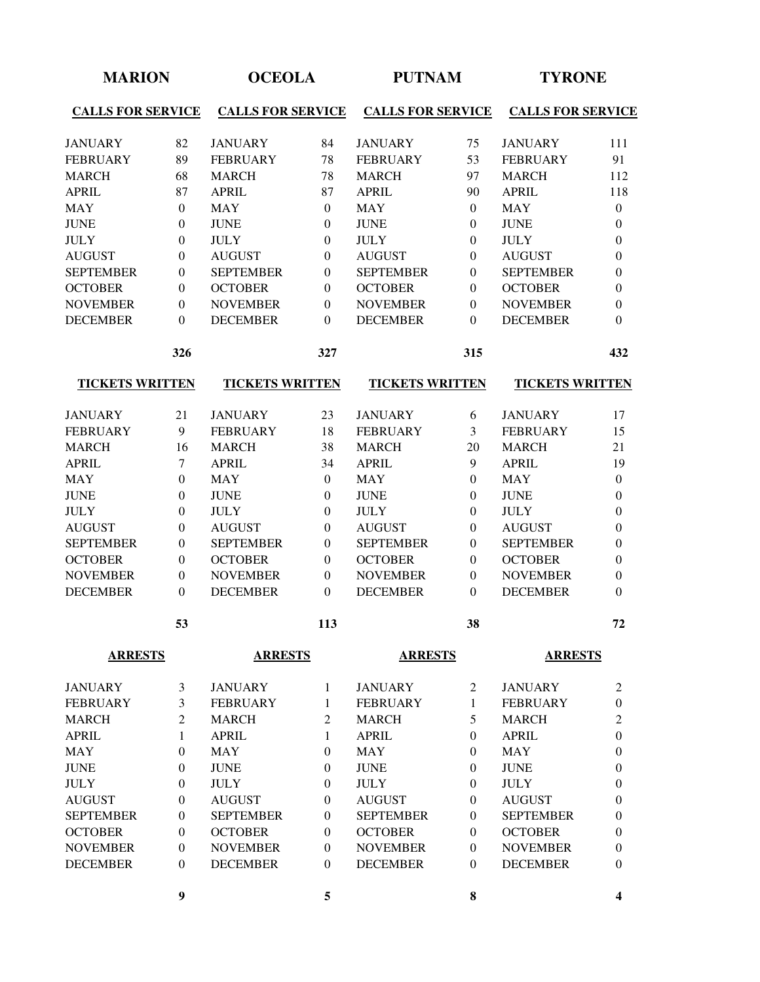| <b>MARION</b>            |                  | <b>OCEOLA</b>            |                  | <b>PUTNAM</b>            |                  | <b>TYRONE</b>            |                         |
|--------------------------|------------------|--------------------------|------------------|--------------------------|------------------|--------------------------|-------------------------|
| <b>CALLS FOR SERVICE</b> |                  | <b>CALLS FOR SERVICE</b> |                  | <b>CALLS FOR SERVICE</b> |                  | <b>CALLS FOR SERVICE</b> |                         |
| <b>JANUARY</b>           | 82               | <b>JANUARY</b>           | 84               | <b>JANUARY</b>           | 75               | <b>JANUARY</b>           | 111                     |
| <b>FEBRUARY</b>          | 89               | <b>FEBRUARY</b>          | 78               | <b>FEBRUARY</b>          | 53               | <b>FEBRUARY</b>          | 91                      |
| <b>MARCH</b>             | 68               | <b>MARCH</b>             | 78               | <b>MARCH</b>             | 97               | <b>MARCH</b>             | 112                     |
| <b>APRIL</b>             | 87               | <b>APRIL</b>             | 87               | <b>APRIL</b>             | 90               | <b>APRIL</b>             | 118                     |
| <b>MAY</b>               | $\theta$         | <b>MAY</b>               | $\boldsymbol{0}$ | <b>MAY</b>               | $\theta$         | <b>MAY</b>               | $\boldsymbol{0}$        |
| <b>JUNE</b>              | $\overline{0}$   | <b>JUNE</b>              | $\theta$         | <b>JUNE</b>              | $\Omega$         | <b>JUNE</b>              | $\mathbf{0}$            |
| <b>JULY</b>              | $\Omega$         | <b>JULY</b>              | $\theta$         | <b>JULY</b>              | $\Omega$         | <b>JULY</b>              | $\mathbf{0}$            |
| <b>AUGUST</b>            | $\overline{0}$   | <b>AUGUST</b>            | $\theta$         | <b>AUGUST</b>            | $\Omega$         | <b>AUGUST</b>            | $\mathbf{0}$            |
| <b>SEPTEMBER</b>         | $\Omega$         | <b>SEPTEMBER</b>         | $\boldsymbol{0}$ | <b>SEPTEMBER</b>         | $\Omega$         | <b>SEPTEMBER</b>         | $\mathbf{0}$            |
| <b>OCTOBER</b>           | $\Omega$         | <b>OCTOBER</b>           | $\boldsymbol{0}$ | <b>OCTOBER</b>           | $\Omega$         | <b>OCTOBER</b>           | $\theta$                |
| <b>NOVEMBER</b>          | $\boldsymbol{0}$ | <b>NOVEMBER</b>          | $\boldsymbol{0}$ | <b>NOVEMBER</b>          | $\Omega$         | <b>NOVEMBER</b>          | $\mathbf{0}$            |
| <b>DECEMBER</b>          | $\Omega$         | <b>DECEMBER</b>          | $\theta$         | <b>DECEMBER</b>          | $\Omega$         | <b>DECEMBER</b>          | $\theta$                |
|                          | 326              |                          | 327              |                          | 315              |                          | 432                     |
| <b>TICKETS WRITTEN</b>   |                  | <b>TICKETS WRITTEN</b>   |                  | <b>TICKETS WRITTEN</b>   |                  | <b>TICKETS WRITTEN</b>   |                         |
| <b>JANUARY</b>           | 21               | <b>JANUARY</b>           | 23               | <b>JANUARY</b>           | 6                | <b>JANUARY</b>           | 17                      |
| <b>FEBRUARY</b>          | 9                | <b>FEBRUARY</b>          | 18               | <b>FEBRUARY</b>          | 3                | <b>FEBRUARY</b>          | 15                      |
| <b>MARCH</b>             | 16               | <b>MARCH</b>             | 38               | <b>MARCH</b>             | 20               | <b>MARCH</b>             | 21                      |
| <b>APRIL</b>             | $\tau$           | <b>APRIL</b>             | 34               | <b>APRIL</b>             | 9                | <b>APRIL</b>             | 19                      |
| <b>MAY</b>               | $\mathbf{0}$     | <b>MAY</b>               | $\overline{0}$   | <b>MAY</b>               | $\Omega$         | <b>MAY</b>               | $\mathbf{0}$            |
| <b>JUNE</b>              | $\mathbf{0}$     | <b>JUNE</b>              | $\theta$         | <b>JUNE</b>              | $\Omega$         | <b>JUNE</b>              | $\boldsymbol{0}$        |
| <b>JULY</b>              | $\Omega$         | <b>JULY</b>              | $\boldsymbol{0}$ | <b>JULY</b>              | $\Omega$         | <b>JULY</b>              | $\mathbf{0}$            |
| <b>AUGUST</b>            | $\boldsymbol{0}$ | <b>AUGUST</b>            | $\boldsymbol{0}$ | <b>AUGUST</b>            | $\boldsymbol{0}$ | <b>AUGUST</b>            | $\mathbf{0}$            |
| <b>SEPTEMBER</b>         | $\mathbf{0}$     | <b>SEPTEMBER</b>         | $\overline{0}$   | <b>SEPTEMBER</b>         | $\Omega$         | <b>SEPTEMBER</b>         | $\theta$                |
| <b>OCTOBER</b>           | $\Omega$         | <b>OCTOBER</b>           | $\theta$         | <b>OCTOBER</b>           | $\Omega$         | <b>OCTOBER</b>           | $\theta$                |
| <b>NOVEMBER</b>          | $\mathbf{0}$     | <b>NOVEMBER</b>          | $\theta$         | <b>NOVEMBER</b>          | $\mathbf{0}$     | <b>NOVEMBER</b>          | $\boldsymbol{0}$        |
| <b>DECEMBER</b>          | $\Omega$         | <b>DECEMBER</b>          | $\theta$         | <b>DECEMBER</b>          | 0                | <b>DECEMBER</b>          | $\theta$                |
|                          | 53               |                          | 113              |                          | 38               |                          | 72                      |
| <b>ARRESTS</b>           |                  | <b>ARRESTS</b>           |                  | <b>ARRESTS</b>           |                  | <b>ARRESTS</b>           |                         |
| <b>JANUARY</b>           | 3                | <b>JANUARY</b>           | 1                | <b>JANUARY</b>           | 2                | <b>JANUARY</b>           | $\overline{c}$          |
| <b>FEBRUARY</b>          | 3                | <b>FEBRUARY</b>          | 1                | <b>FEBRUARY</b>          | 1                | <b>FEBRUARY</b>          | $\boldsymbol{0}$        |
| <b>MARCH</b>             | $\overline{2}$   | <b>MARCH</b>             | $\overline{2}$   | <b>MARCH</b>             | 5                | <b>MARCH</b>             | $\sqrt{2}$              |
| <b>APRIL</b>             | 1                | <b>APRIL</b>             | 1                | <b>APRIL</b>             | $\theta$         | <b>APRIL</b>             | $\boldsymbol{0}$        |
| <b>MAY</b>               | $\mathbf{0}$     | <b>MAY</b>               | $\boldsymbol{0}$ | <b>MAY</b>               | $\theta$         | <b>MAY</b>               | $\boldsymbol{0}$        |
| <b>JUNE</b>              | $\mathbf{0}$     | <b>JUNE</b>              | $\overline{0}$   | <b>JUNE</b>              | $\Omega$         | <b>JUNE</b>              | $\mathbf{0}$            |
| <b>JULY</b>              | $\mathbf{0}$     | <b>JULY</b>              | $\overline{0}$   | <b>JULY</b>              | $\theta$         | <b>JULY</b>              | $\boldsymbol{0}$        |
| <b>AUGUST</b>            | $\mathbf{0}$     | <b>AUGUST</b>            | $\overline{0}$   | <b>AUGUST</b>            | $\Omega$         | <b>AUGUST</b>            | $\boldsymbol{0}$        |
| <b>SEPTEMBER</b>         | $\mathbf{0}$     | <b>SEPTEMBER</b>         | $\boldsymbol{0}$ | <b>SEPTEMBER</b>         | $\Omega$         | <b>SEPTEMBER</b>         | $\boldsymbol{0}$        |
| <b>OCTOBER</b>           | $\mathbf{0}$     | <b>OCTOBER</b>           | $\boldsymbol{0}$ | <b>OCTOBER</b>           | $\theta$         | <b>OCTOBER</b>           | $\boldsymbol{0}$        |
| <b>NOVEMBER</b>          | $\theta$         | <b>NOVEMBER</b>          | $\boldsymbol{0}$ | <b>NOVEMBER</b>          | $\Omega$         | <b>NOVEMBER</b>          | $\boldsymbol{0}$        |
| <b>DECEMBER</b>          | $\mathbf{0}$     | <b>DECEMBER</b>          | $\overline{0}$   | <b>DECEMBER</b>          | $\Omega$         | <b>DECEMBER</b>          | $\mathbf{0}$            |
|                          | $\boldsymbol{9}$ |                          | 5                |                          | 8                |                          | $\overline{\mathbf{4}}$ |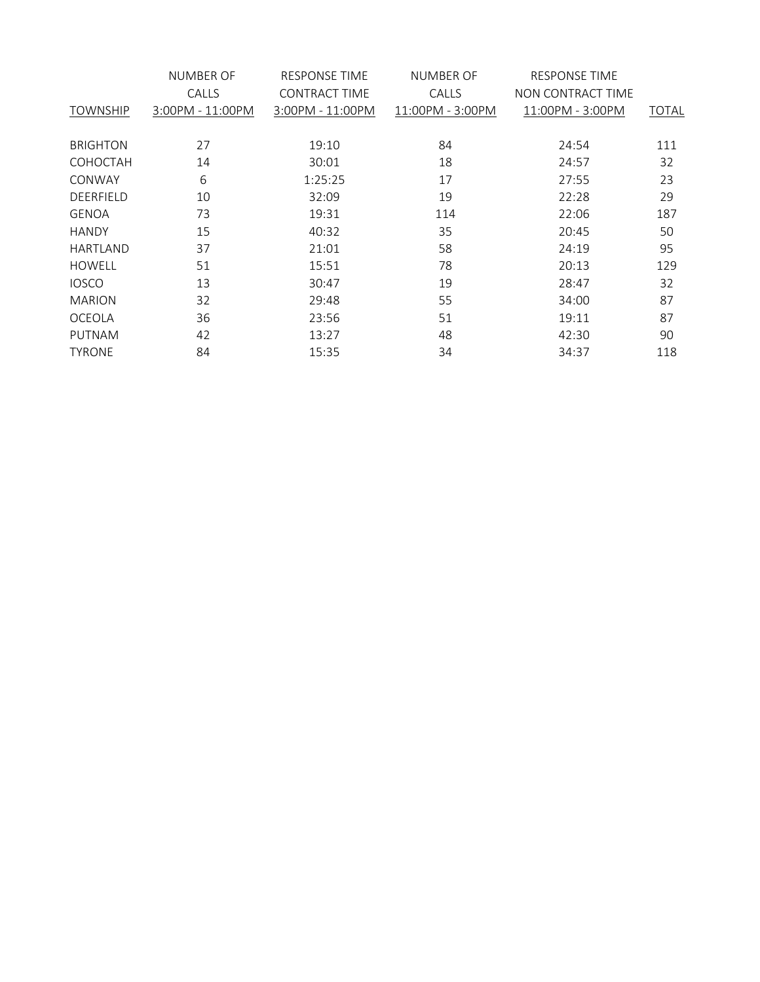|                  | NUMBER OF        | <b>RESPONSE TIME</b> | NUMBER OF        | RESPONSE TIME     |              |
|------------------|------------------|----------------------|------------------|-------------------|--------------|
|                  | CALLS            | <b>CONTRACT TIME</b> | CALLS            | NON CONTRACT TIME |              |
| <b>TOWNSHIP</b>  | 3:00PM - 11:00PM | 3:00PM - 11:00PM     | 11:00PM - 3:00PM | 11:00PM - 3:00PM  | <b>TOTAL</b> |
| <b>BRIGHTON</b>  | 27               | 19:10                | 84               | 24:54             | 111          |
| <b>COHOCTAH</b>  | 14               | 30:01                | 18               | 24:57             | 32           |
| CONWAY           | 6                | 1:25:25              | 17               | 27:55             | 23           |
| <b>DEERFIELD</b> | 10               | 32:09                | 19               | 22:28             | 29           |
| <b>GENOA</b>     | 73               | 19:31                | 114              | 22:06             | 187          |
| <b>HANDY</b>     | 15               | 40:32                | 35               | 20:45             | 50           |
| <b>HARTLAND</b>  | 37               | 21:01                | 58               | 24:19             | 95           |
| <b>HOWELL</b>    | 51               | 15:51                | 78               | 20:13             | 129          |
| <b>IOSCO</b>     | 13               | 30:47                | 19               | 28:47             | 32           |
| <b>MARION</b>    | 32               | 29:48                | 55               | 34:00             | 87           |
| <b>OCEOLA</b>    | 36               | 23:56                | 51               | 19:11             | 87           |
| <b>PUTNAM</b>    | 42               | 13:27                | 48               | 42:30             | 90           |
| <b>TYRONE</b>    | 84               | 15:35                | 34               | 34:37             | 118          |